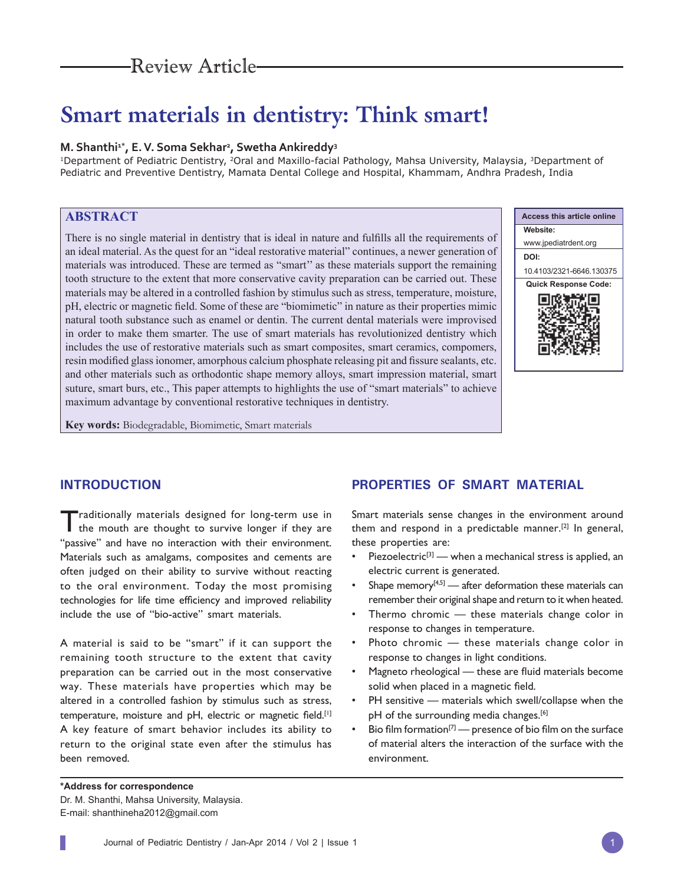# Review Article

# **Smart materials in dentistry: Think smart!**

#### **M. Shanthi1\*, E. V. Soma Sekhar2 , Swetha Ankireddy3**

<sup>1</sup>Department of Pediatric Dentistry, <sup>2</sup>Oral and Maxillo-facial Pathology, Mahsa University, Malaysia, <sup>3</sup>Department of Pediatric and Preventive Dentistry, Mamata Dental College and Hospital, Khammam, Andhra Pradesh, India

# **ABSTRACT**

There is no single material in dentistry that is ideal in nature and fulfills all the requirements of an ideal material. As the quest for an "ideal restorative material" continues, a newer generation of materials was introduced. These are termed as "smart'' as these materials support the remaining tooth structure to the extent that more conservative cavity preparation can be carried out. These materials may be altered in a controlled fashion by stimulus such as stress, temperature, moisture, pH, electric or magnetic field. Some of these are "biomimetic" in nature as their properties mimic natural tooth substance such as enamel or dentin. The current dental materials were improvised in order to make them smarter. The use of smart materials has revolutionized dentistry which includes the use of restorative materials such as smart composites, smart ceramics, compomers, resin modified glass ionomer, amorphous calcium phosphate releasing pit and fissure sealants, etc. and other materials such as orthodontic shape memory alloys, smart impression material, smart suture, smart burs, etc., This paper attempts to highlights the use of "smart materials" to achieve maximum advantage by conventional restorative techniques in dentistry.



**Key words:** Biodegradable, Biomimetic, Smart materials

# **INTRODUCTION**

Traditionally materials designed for long-term use in the mouth are thought to survive longer if they are "passive" and have no interaction with their environment. Materials such as amalgams, composites and cements are often judged on their ability to survive without reacting to the oral environment. Today the most promising technologies for life time efficiency and improved reliability include the use of "bio-active" smart materials.

A material is said to be "smart" if it can support the remaining tooth structure to the extent that cavity preparation can be carried out in the most conservative way. These materials have properties which may be altered in a controlled fashion by stimulus such as stress, temperature, moisture and pH, electric or magnetic field.<sup>[1]</sup> A key feature of smart behavior includes its ability to return to the original state even after the stimulus has been removed.

## **PROPERTIES OF SMART MATERIAL**

Smart materials sense changes in the environment around them and respond in a predictable manner.<sup>[2]</sup> In general, these properties are:

- Piezoelectric $[3]$  when a mechanical stress is applied, an electric current is generated.
- Shape memory<sup> $[4,5]$ </sup> after deformation these materials can remember their original shape and return to it when heated.
- Thermo chromic  $-$  these materials change color in response to changes in temperature.
- Photo chromic  $-$  these materials change color in response to changes in light conditions.
- Magneto rheological these are fluid materials become solid when placed in a magnetic field.
- PH sensitive materials which swell/collapse when the pH of the surrounding media changes.<sup>[6]</sup>
- Bio film formation<sup>[7]</sup> presence of bio film on the surface of material alters the interaction of the surface with the environment.

**\*Address for correspondence**  Dr. M. Shanthi, Mahsa University, Malaysia. E-mail: shanthineha2012@gmail.com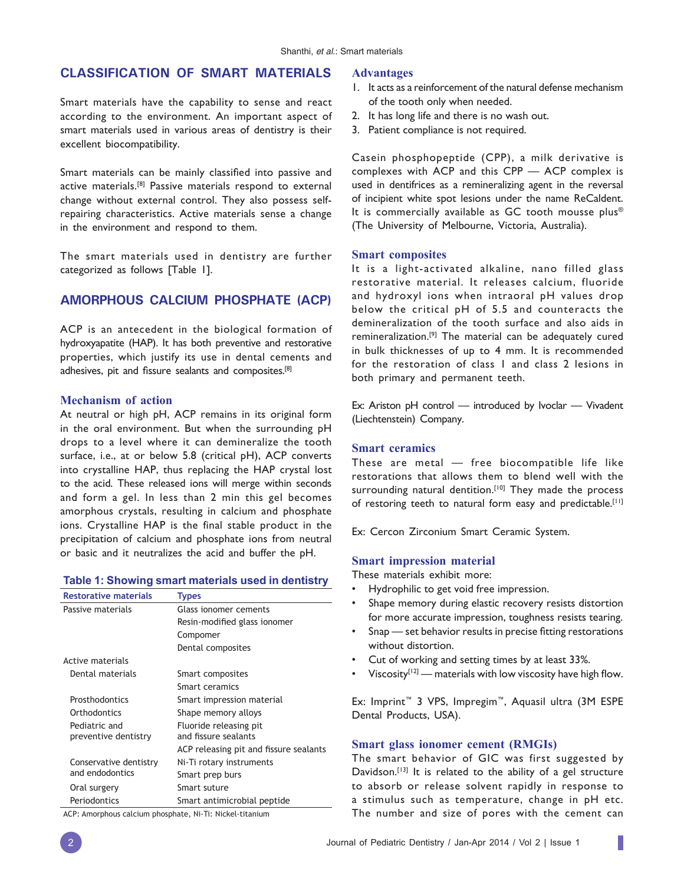# **CLASSIFICATION OF SMART MATERIALS**

Smart materials have the capability to sense and react according to the environment. An important aspect of smart materials used in various areas of dentistry is their excellent biocompatibility.

Smart materials can be mainly classified into passive and active materials.[8] Passive materials respond to external change without external control. They also possess selfrepairing characteristics. Active materials sense a change in the environment and respond to them.

The smart materials used in dentistry are further categorized as follows [Table 1].

# **AMORPHOUS CALCIUM PHOSPHATE (ACP)**

ACP is an antecedent in the biological formation of hydroxyapatite (HAP). It has both preventive and restorative properties, which justify its use in dental cements and adhesives, pit and fissure sealants and composites.<sup>[8]</sup>

#### **Mechanism of action**

At neutral or high pH, ACP remains in its original form in the oral environment. But when the surrounding pH drops to a level where it can demineralize the tooth surface, i.e., at or below 5.8 (critical pH), ACP converts into crystalline HAP, thus replacing the HAP crystal lost to the acid. These released ions will merge within seconds and form a gel. In less than 2 min this gel becomes amorphous crystals, resulting in calcium and phosphate ions. Crystalline HAP is the final stable product in the precipitation of calcium and phosphate ions from neutral or basic and it neutralizes the acid and buffer the pH.

#### **Table 1: Showing smart materials used in dentistry**

| <b>Restorative materials</b> | <b>Types</b>                           |
|------------------------------|----------------------------------------|
| Passive materials            | Glass ionomer cements                  |
|                              | Resin-modified glass ionomer           |
|                              | Compomer                               |
|                              | Dental composites                      |
| Active materials             |                                        |
| Dental materials             | Smart composites                       |
|                              | Smart ceramics                         |
| Prosthodontics               | Smart impression material              |
| Orthodontics                 | Shape memory alloys                    |
| Pediatric and                | Fluoride releasing pit                 |
| preventive dentistry         | and fissure sealants                   |
|                              | ACP releasing pit and fissure sealants |
| Conservative dentistry       | Ni-Ti rotary instruments               |
| and endodontics              | Smart prep burs                        |
| Oral surgery                 | Smart suture                           |
| Periodontics                 | Smart antimicrobial peptide            |

#### **Advantages**

- 1. It acts as a reinforcement of the natural defense mechanism of the tooth only when needed.
- 2. It has long life and there is no wash out.
- 3. Patient compliance is not required.

Casein phosphopeptide (CPP), a milk derivative is complexes with ACP and this CPP — ACP complex is used in dentifrices as a remineralizing agent in the reversal of incipient white spot lesions under the name ReCaldent. It is commercially available as GC tooth mousse plus® (The University of Melbourne, Victoria, Australia).

#### **Smart composites**

It is a light-activated alkaline, nano filled glass restorative material. It releases calcium, fluoride and hydroxyl ions when intraoral pH values drop below the critical pH of 5.5 and counteracts the demineralization of the tooth surface and also aids in remineralization.[9] The material can be adequately cured in bulk thicknesses of up to 4 mm. It is recommended for the restoration of class 1 and class 2 lesions in both primary and permanent teeth.

Ex: Ariston pH control — introduced by Ivoclar — Vivadent (Liechtenstein) Company.

#### **Smart ceramics**

These are metal — free biocompatible life like restorations that allows them to blend well with the surrounding natural dentition.<sup>[10]</sup> They made the process of restoring teeth to natural form easy and predictable.<sup>[11]</sup>

Ex: Cercon Zirconium Smart Ceramic System.

#### **Smart impression material**

These materials exhibit more:

- Hydrophilic to get void free impression.
- Shape memory during elastic recovery resists distortion for more accurate impression, toughness resists tearing.
- Snap set behavior results in precise fitting restorations without distortion.
- Cut of working and setting times by at least 33%.
- Viscosity<sup>[12]</sup> materials with low viscosity have high flow.

Ex: Imprint™ 3 VPS, Impregim™, Aquasil ultra (3M ESPE Dental Products, USA).

#### **Smart glass ionomer cement (RMGIs)**

The smart behavior of GIC was first suggested by Davidson.<sup>[13]</sup> It is related to the ability of a gel structure to absorb or release solvent rapidly in response to a stimulus such as temperature, change in pH etc. The number and size of pores with the cement can

ACP: Amorphous calcium phosphate, Ni-Ti: Nickel-titanium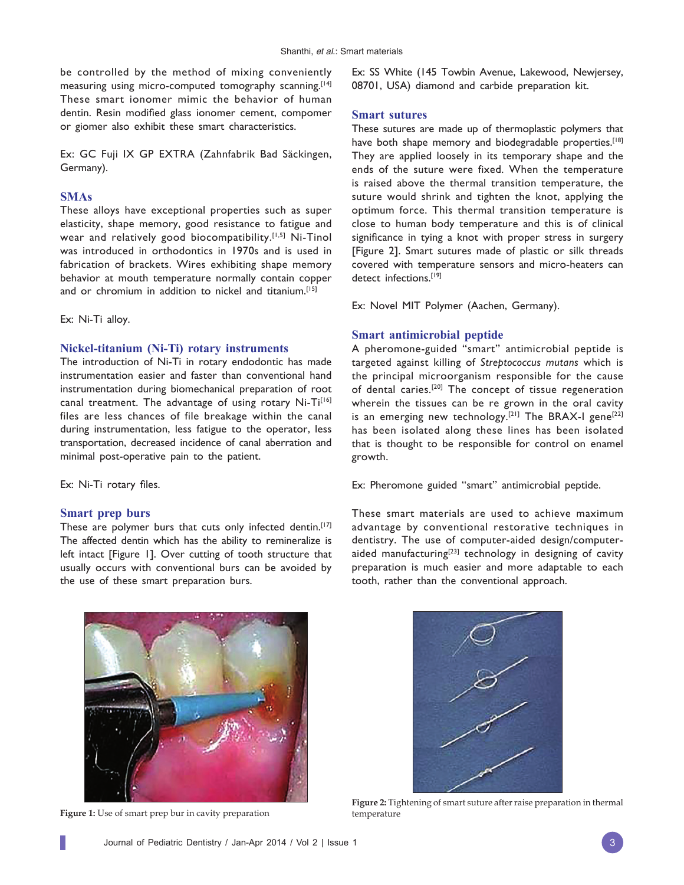be controlled by the method of mixing conveniently measuring using micro-computed tomography scanning.<sup>[14]</sup> These smart ionomer mimic the behavior of human dentin. Resin modified glass ionomer cement, compomer or giomer also exhibit these smart characteristics.

Ex: GC Fuji IX GP EXTRA (Zahnfabrik Bad Säckingen, Germany).

# **SMAs**

These alloys have exceptional properties such as super elasticity, shape memory, good resistance to fatigue and wear and relatively good biocompatibility.<sup>[1,5]</sup> Ni-Tinol was introduced in orthodontics in 1970s and is used in fabrication of brackets. Wires exhibiting shape memory behavior at mouth temperature normally contain copper and or chromium in addition to nickel and titanium.<sup>[15]</sup>

Ex: Ni-Ti alloy.

#### **Nickel-titanium (Ni-Ti) rotary instruments**

The introduction of Ni-Ti in rotary endodontic has made instrumentation easier and faster than conventional hand instrumentation during biomechanical preparation of root canal treatment. The advantage of using rotary Ni-Ti<sup>[16]</sup> files are less chances of file breakage within the canal during instrumentation, less fatigue to the operator, less transportation, decreased incidence of canal aberration and minimal post-operative pain to the patient.

Ex: Ni-Ti rotary files.

#### **Smart prep burs**

These are polymer burs that cuts only infected dentin.<sup>[17]</sup> The affected dentin which has the ability to remineralize is left intact [Figure 1]. Over cutting of tooth structure that usually occurs with conventional burs can be avoided by the use of these smart preparation burs.

Ex: SS White (145 Towbin Avenue, Lakewood, Newjersey, 08701, USA) diamond and carbide preparation kit.

#### **Smart sutures**

These sutures are made up of thermoplastic polymers that have both shape memory and biodegradable properties.<sup>[18]</sup> They are applied loosely in its temporary shape and the ends of the suture were fixed. When the temperature is raised above the thermal transition temperature, the suture would shrink and tighten the knot, applying the optimum force. This thermal transition temperature is close to human body temperature and this is of clinical significance in tying a knot with proper stress in surgery [Figure 2]. Smart sutures made of plastic or silk threads covered with temperature sensors and micro-heaters can detect infections.[19]

Ex: Novel MIT Polymer (Aachen, Germany).

#### **Smart antimicrobial peptide**

A pheromone-guided "smart" antimicrobial peptide is targeted against killing of *Streptococcus mutans* which is the principal microorganism responsible for the cause of dental caries.[20] The concept of tissue regeneration wherein the tissues can be re grown in the oral cavity is an emerging new technology.<sup>[21]</sup> The BRAX-I gene<sup>[22]</sup> has been isolated along these lines has been isolated that is thought to be responsible for control on enamel growth.

Ex: Pheromone guided "smart" antimicrobial peptide.

These smart materials are used to achieve maximum advantage by conventional restorative techniques in dentistry. The use of computer-aided design/computeraided manufacturing<sup>[23]</sup> technology in designing of cavity preparation is much easier and more adaptable to each tooth, rather than the conventional approach.



**Figure 1:** Use of smart prep bur in cavity preparation





**Figure 2:** Tightening of smart suture after raise preparation in thermal temperature